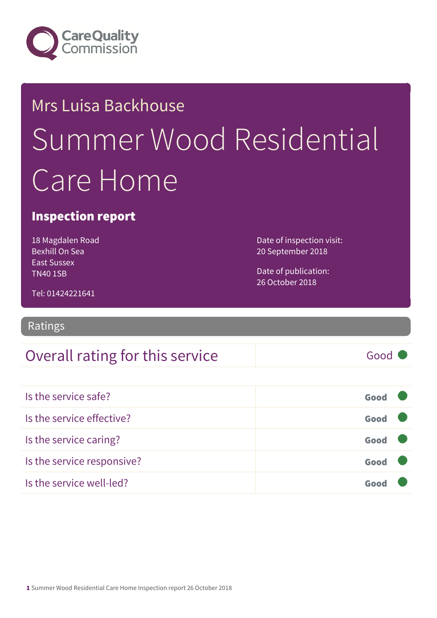

# Mrs Luisa Backhouse Summer Wood Residential Care Home

#### Inspection report

18 Magdalen Road Bexhill On Sea East Sussex TN40 1SB

Date of inspection visit: 20 September 2018

Date of publication: 26 October 2018

Tel: 01424221641

Ratings

#### Overall rating for this service and all the Good

Is the service safe? Good Is the service effective? Contact the service effective? Is the service caring? Good Is the service responsive? Good Is the service well-led? Good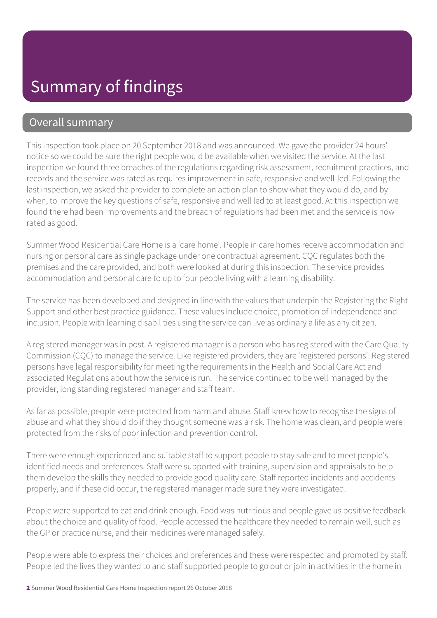### Summary of findings

#### Overall summary

This inspection took place on 20 September 2018 and was announced. We gave the provider 24 hours' notice so we could be sure the right people would be available when we visited the service. At the last inspection we found three breaches of the regulations regarding risk assessment, recruitment practices, and records and the service was rated as requires improvement in safe, responsive and well-led. Following the last inspection, we asked the provider to complete an action plan to show what they would do, and by when, to improve the key questions of safe, responsive and well led to at least good. At this inspection we found there had been improvements and the breach of regulations had been met and the service is now rated as good.

Summer Wood Residential Care Home is a 'care home'. People in care homes receive accommodation and nursing or personal care as single package under one contractual agreement. CQC regulates both the premises and the care provided, and both were looked at during this inspection. The service provides accommodation and personal care to up to four people living with a learning disability.

The service has been developed and designed in line with the values that underpin the Registering the Right Support and other best practice guidance. These values include choice, promotion of independence and inclusion. People with learning disabilities using the service can live as ordinary a life as any citizen.

A registered manager was in post. A registered manager is a person who has registered with the Care Quality Commission (CQC) to manage the service. Like registered providers, they are 'registered persons'. Registered persons have legal responsibility for meeting the requirements in the Health and Social Care Act and associated Regulations about how the service is run. The service continued to be well managed by the provider, long standing registered manager and staff team.

As far as possible, people were protected from harm and abuse. Staff knew how to recognise the signs of abuse and what they should do if they thought someone was a risk. The home was clean, and people were protected from the risks of poor infection and prevention control.

There were enough experienced and suitable staff to support people to stay safe and to meet people's identified needs and preferences. Staff were supported with training, supervision and appraisals to help them develop the skills they needed to provide good quality care. Staff reported incidents and accidents properly, and if these did occur, the registered manager made sure they were investigated.

People were supported to eat and drink enough. Food was nutritious and people gave us positive feedback about the choice and quality of food. People accessed the healthcare they needed to remain well, such as the GP or practice nurse, and their medicines were managed safely.

People were able to express their choices and preferences and these were respected and promoted by staff. People led the lives they wanted to and staff supported people to go out or join in activities in the home in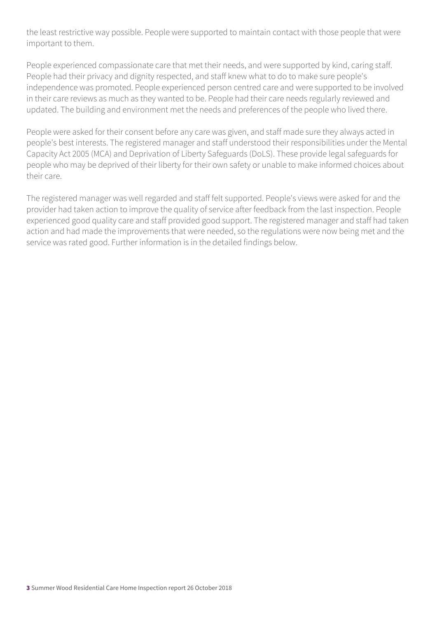the least restrictive way possible. People were supported to maintain contact with those people that were important to them.

People experienced compassionate care that met their needs, and were supported by kind, caring staff. People had their privacy and dignity respected, and staff knew what to do to make sure people's independence was promoted. People experienced person centred care and were supported to be involved in their care reviews as much as they wanted to be. People had their care needs regularly reviewed and updated. The building and environment met the needs and preferences of the people who lived there.

People were asked for their consent before any care was given, and staff made sure they always acted in people's best interests. The registered manager and staff understood their responsibilities under the Mental Capacity Act 2005 (MCA) and Deprivation of Liberty Safeguards (DoLS). These provide legal safeguards for people who may be deprived of their liberty for their own safety or unable to make informed choices about their care.

The registered manager was well regarded and staff felt supported. People's views were asked for and the provider had taken action to improve the quality of service after feedback from the last inspection. People experienced good quality care and staff provided good support. The registered manager and staff had taken action and had made the improvements that were needed, so the regulations were now being met and the service was rated good. Further information is in the detailed findings below.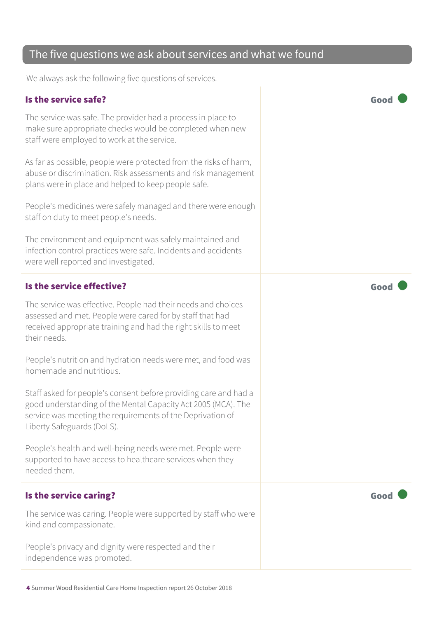#### The five questions we ask about services and what we found

We always ask the following five questions of services.

#### Is the service safe? Good

The service was safe. The provider had a process in place to make sure appropriate checks would be completed when new staff were employed to work at the service.

As far as possible, people were protected from the risks of harm, abuse or discrimination. Risk assessments and risk management plans were in place and helped to keep people safe.

People's medicines were safely managed and there were enough staff on duty to meet people's needs.

The environment and equipment was safely maintained and infection control practices were safe. Incidents and accidents were well reported and investigated.

#### Is the service effective? Good

The service was effective. People had their needs and choices assessed and met. People were cared for by staff that had received appropriate training and had the right skills to meet their needs.

People's nutrition and hydration needs were met, and food was homemade and nutritious.

Staff asked for people's consent before providing care and had a good understanding of the Mental Capacity Act 2005 (MCA). The service was meeting the requirements of the Deprivation of Liberty Safeguards (DoLS).

People's health and well-being needs were met. People were supported to have access to healthcare services when they needed them.

#### Is the service caring? Contact the service caring?

The service was caring. People were supported by staff who were kind and compassionate.

People's privacy and dignity were respected and their independence was promoted.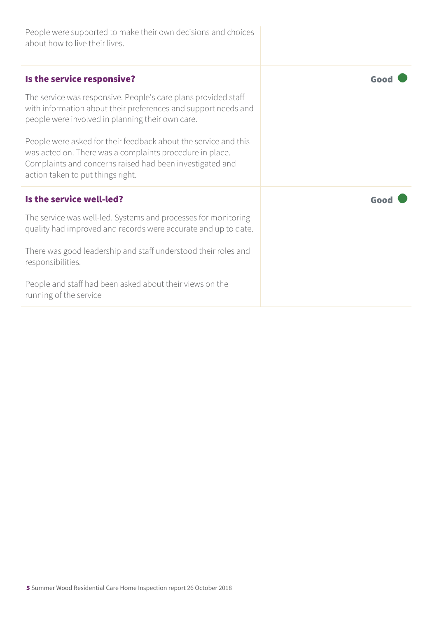| about how to live their lives.                                                                                                                                                                                               |      |
|------------------------------------------------------------------------------------------------------------------------------------------------------------------------------------------------------------------------------|------|
| Is the service responsive?                                                                                                                                                                                                   | Good |
| The service was responsive. People's care plans provided staff<br>with information about their preferences and support needs and<br>people were involved in planning their own care.                                         |      |
| People were asked for their feedback about the service and this<br>was acted on. There was a complaints procedure in place.<br>Complaints and concerns raised had been investigated and<br>action taken to put things right. |      |
| Is the service well-led?                                                                                                                                                                                                     | Good |
| The service was well-led. Systems and processes for monitoring<br>quality had improved and records were accurate and up to date.                                                                                             |      |
| There was good leadership and staff understood their roles and<br>responsibilities.                                                                                                                                          |      |
| People and staff had been asked about their views on the<br>running of the service                                                                                                                                           |      |

People were supported to make their own decisions and choices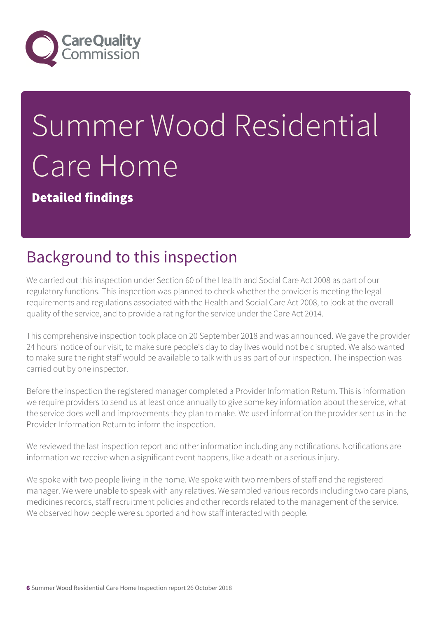

# Summer Wood Residential Care Home

Detailed findings

## Background to this inspection

We carried out this inspection under Section 60 of the Health and Social Care Act 2008 as part of our regulatory functions. This inspection was planned to check whether the provider is meeting the legal requirements and regulations associated with the Health and Social Care Act 2008, to look at the overall quality of the service, and to provide a rating for the service under the Care Act 2014.

This comprehensive inspection took place on 20 September 2018 and was announced. We gave the provider 24 hours' notice of our visit, to make sure people's day to day lives would not be disrupted. We also wanted to make sure the right staff would be available to talk with us as part of our inspection. The inspection was carried out by one inspector.

Before the inspection the registered manager completed a Provider Information Return. This is information we require providers to send us at least once annually to give some key information about the service, what the service does well and improvements they plan to make. We used information the provider sent us in the Provider Information Return to inform the inspection.

We reviewed the last inspection report and other information including any notifications. Notifications are information we receive when a significant event happens, like a death or a serious injury.

We spoke with two people living in the home. We spoke with two members of staff and the registered manager. We were unable to speak with any relatives. We sampled various records including two care plans, medicines records, staff recruitment policies and other records related to the management of the service. We observed how people were supported and how staff interacted with people.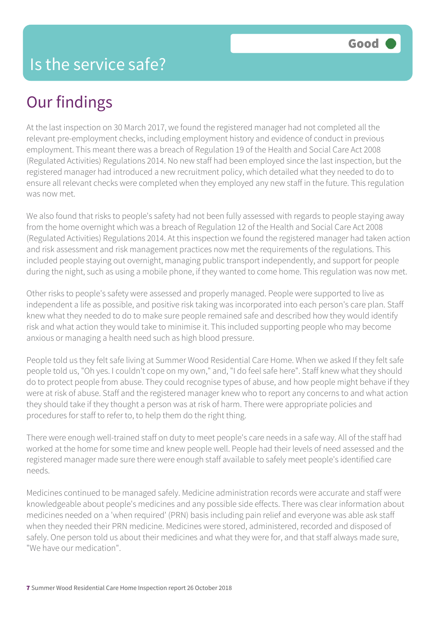## Our findings

At the last inspection on 30 March 2017, we found the registered manager had not completed all the relevant pre-employment checks, including employment history and evidence of conduct in previous employment. This meant there was a breach of Regulation 19 of the Health and Social Care Act 2008 (Regulated Activities) Regulations 2014. No new staff had been employed since the last inspection, but the registered manager had introduced a new recruitment policy, which detailed what they needed to do to ensure all relevant checks were completed when they employed any new staff in the future. This regulation was now met.

We also found that risks to people's safety had not been fully assessed with regards to people staying away from the home overnight which was a breach of Regulation 12 of the Health and Social Care Act 2008 (Regulated Activities) Regulations 2014. At this inspection we found the registered manager had taken action and risk assessment and risk management practices now met the requirements of the regulations. This included people staying out overnight, managing public transport independently, and support for people during the night, such as using a mobile phone, if they wanted to come home. This regulation was now met.

Other risks to people's safety were assessed and properly managed. People were supported to live as independent a life as possible, and positive risk taking was incorporated into each person's care plan. Staff knew what they needed to do to make sure people remained safe and described how they would identify risk and what action they would take to minimise it. This included supporting people who may become anxious or managing a health need such as high blood pressure.

People told us they felt safe living at Summer Wood Residential Care Home. When we asked If they felt safe people told us, "Oh yes. I couldn't cope on my own," and, "I do feel safe here". Staff knew what they should do to protect people from abuse. They could recognise types of abuse, and how people might behave if they were at risk of abuse. Staff and the registered manager knew who to report any concerns to and what action they should take if they thought a person was at risk of harm. There were appropriate policies and procedures for staff to refer to, to help them do the right thing.

There were enough well-trained staff on duty to meet people's care needs in a safe way. All of the staff had worked at the home for some time and knew people well. People had their levels of need assessed and the registered manager made sure there were enough staff available to safely meet people's identified care needs.

Medicines continued to be managed safely. Medicine administration records were accurate and staff were knowledgeable about people's medicines and any possible side effects. There was clear information about medicines needed on a 'when required' (PRN) basis including pain relief and everyone was able ask staff when they needed their PRN medicine. Medicines were stored, administered, recorded and disposed of safely. One person told us about their medicines and what they were for, and that staff always made sure, "We have our medication".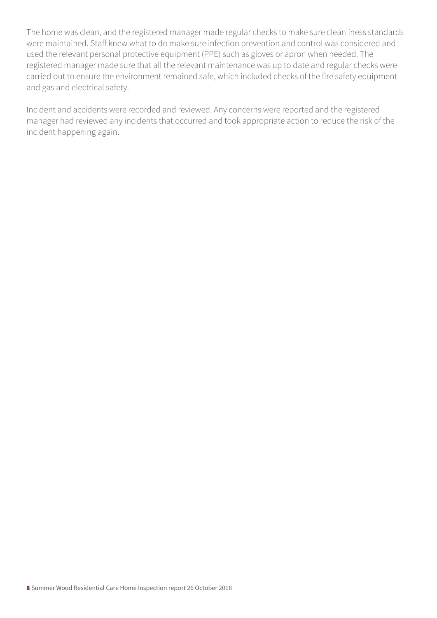The home was clean, and the registered manager made regular checks to make sure cleanliness standards were maintained. Staff knew what to do make sure infection prevention and control was considered and used the relevant personal protective equipment (PPE) such as gloves or apron when needed. The registered manager made sure that all the relevant maintenance was up to date and regular checks were carried out to ensure the environment remained safe, which included checks of the fire safety equipment and gas and electrical safety.

Incident and accidents were recorded and reviewed. Any concerns were reported and the registered manager had reviewed any incidents that occurred and took appropriate action to reduce the risk of the incident happening again.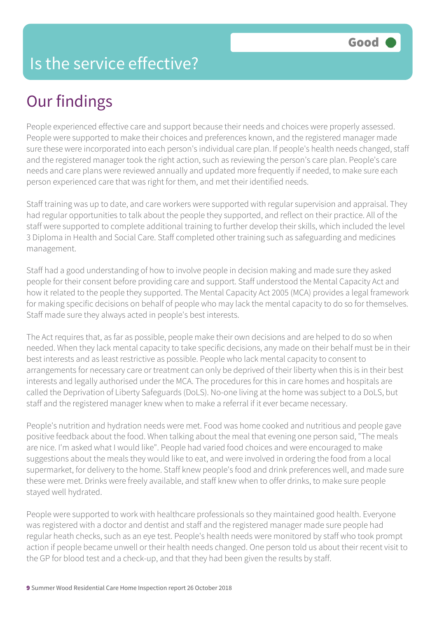#### Is the service effective?

### Our findings

People experienced effective care and support because their needs and choices were properly assessed. People were supported to make their choices and preferences known, and the registered manager made sure these were incorporated into each person's individual care plan. If people's health needs changed, staff and the registered manager took the right action, such as reviewing the person's care plan. People's care needs and care plans were reviewed annually and updated more frequently if needed, to make sure each person experienced care that was right for them, and met their identified needs.

Staff training was up to date, and care workers were supported with regular supervision and appraisal. They had regular opportunities to talk about the people they supported, and reflect on their practice. All of the staff were supported to complete additional training to further develop their skills, which included the level 3 Diploma in Health and Social Care. Staff completed other training such as safeguarding and medicines management.

Staff had a good understanding of how to involve people in decision making and made sure they asked people for their consent before providing care and support. Staff understood the Mental Capacity Act and how it related to the people they supported. The Mental Capacity Act 2005 (MCA) provides a legal framework for making specific decisions on behalf of people who may lack the mental capacity to do so for themselves. Staff made sure they always acted in people's best interests.

The Act requires that, as far as possible, people make their own decisions and are helped to do so when needed. When they lack mental capacity to take specific decisions, any made on their behalf must be in their best interests and as least restrictive as possible. People who lack mental capacity to consent to arrangements for necessary care or treatment can only be deprived of their liberty when this is in their best interests and legally authorised under the MCA. The procedures for this in care homes and hospitals are called the Deprivation of Liberty Safeguards (DoLS). No-one living at the home was subject to a DoLS, but staff and the registered manager knew when to make a referral if it ever became necessary.

People's nutrition and hydration needs were met. Food was home cooked and nutritious and people gave positive feedback about the food. When talking about the meal that evening one person said, "The meals are nice. I'm asked what I would like". People had varied food choices and were encouraged to make suggestions about the meals they would like to eat, and were involved in ordering the food from a local supermarket, for delivery to the home. Staff knew people's food and drink preferences well, and made sure these were met. Drinks were freely available, and staff knew when to offer drinks, to make sure people stayed well hydrated.

People were supported to work with healthcare professionals so they maintained good health. Everyone was registered with a doctor and dentist and staff and the registered manager made sure people had regular heath checks, such as an eye test. People's health needs were monitored by staff who took prompt action if people became unwell or their health needs changed. One person told us about their recent visit to the GP for blood test and a check-up, and that they had been given the results by staff.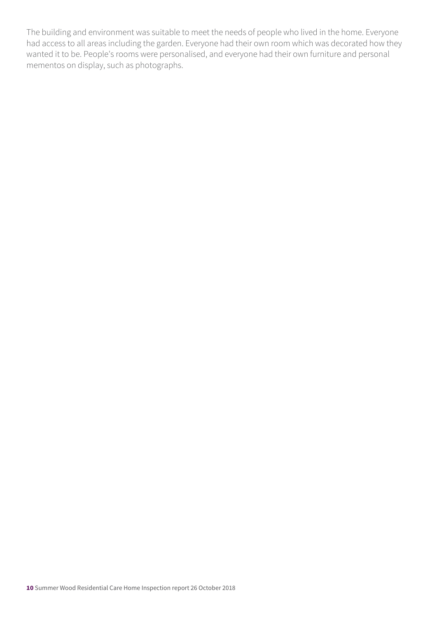The building and environment was suitable to meet the needs of people who lived in the home. Everyone had access to all areas including the garden. Everyone had their own room which was decorated how they wanted it to be. People's rooms were personalised, and everyone had their own furniture and personal mementos on display, such as photographs.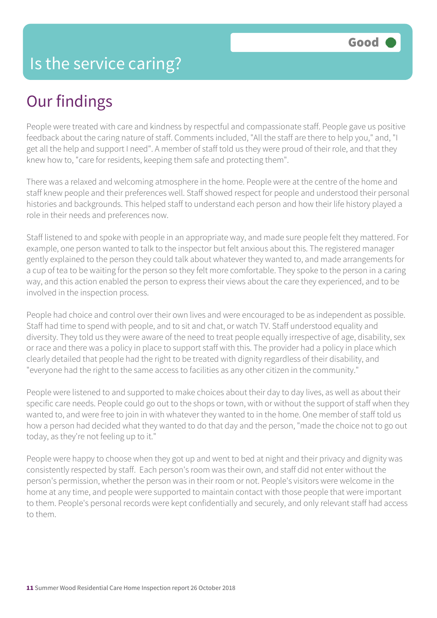# Our findings

People were treated with care and kindness by respectful and compassionate staff. People gave us positive feedback about the caring nature of staff. Comments included, "All the staff are there to help you," and, "I get all the help and support I need". A member of staff told us they were proud of their role, and that they knew how to, "care for residents, keeping them safe and protecting them".

There was a relaxed and welcoming atmosphere in the home. People were at the centre of the home and staff knew people and their preferences well. Staff showed respect for people and understood their personal histories and backgrounds. This helped staff to understand each person and how their life history played a role in their needs and preferences now.

Staff listened to and spoke with people in an appropriate way, and made sure people felt they mattered. For example, one person wanted to talk to the inspector but felt anxious about this. The registered manager gently explained to the person they could talk about whatever they wanted to, and made arrangements for a cup of tea to be waiting for the person so they felt more comfortable. They spoke to the person in a caring way, and this action enabled the person to express their views about the care they experienced, and to be involved in the inspection process.

People had choice and control over their own lives and were encouraged to be as independent as possible. Staff had time to spend with people, and to sit and chat, or watch TV. Staff understood equality and diversity. They told us they were aware of the need to treat people equally irrespective of age, disability, sex or race and there was a policy in place to support staff with this. The provider had a policy in place which clearly detailed that people had the right to be treated with dignity regardless of their disability, and "everyone had the right to the same access to facilities as any other citizen in the community."

People were listened to and supported to make choices about their day to day lives, as well as about their specific care needs. People could go out to the shops or town, with or without the support of staff when they wanted to, and were free to join in with whatever they wanted to in the home. One member of staff told us how a person had decided what they wanted to do that day and the person, "made the choice not to go out today, as they're not feeling up to it."

People were happy to choose when they got up and went to bed at night and their privacy and dignity was consistently respected by staff. Each person's room was their own, and staff did not enter without the person's permission, whether the person was in their room or not. People's visitors were welcome in the home at any time, and people were supported to maintain contact with those people that were important to them. People's personal records were kept confidentially and securely, and only relevant staff had access to them.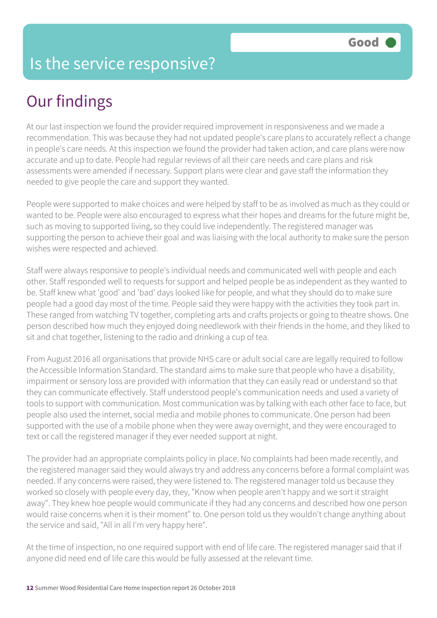#### Is the service responsive?

# Our findings

At our last inspection we found the provider required improvement in responsiveness and we made a recommendation. This was because they had not updated people's care plans to accurately reflect a change in people's care needs. At this inspection we found the provider had taken action, and care plans were now accurate and up to date. People had regular reviews of all their care needs and care plans and risk assessments were amended if necessary. Support plans were clear and gave staff the information they needed to give people the care and support they wanted.

People were supported to make choices and were helped by staff to be as involved as much as they could or wanted to be. People were also encouraged to express what their hopes and dreams for the future might be, such as moving to supported living, so they could live independently. The registered manager was supporting the person to achieve their goal and was liaising with the local authority to make sure the person wishes were respected and achieved.

Staff were always responsive to people's individual needs and communicated well with people and each other. Staff responded well to requests for support and helped people be as independent as they wanted to be. Staff knew what 'good' and 'bad' days looked like for people, and what they should do to make sure people had a good day most of the time. People said they were happy with the activities they took part in. These ranged from watching TV together, completing arts and crafts projects or going to theatre shows. One person described how much they enjoyed doing needlework with their friends in the home, and they liked to sit and chat together, listening to the radio and drinking a cup of tea.

From August 2016 all organisations that provide NHS care or adult social care are legally required to follow the Accessible Information Standard. The standard aims to make sure that people who have a disability, impairment or sensory loss are provided with information that they can easily read or understand so that they can communicate effectively. Staff understood people's communication needs and used a variety of tools to support with communication. Most communication was by talking with each other face to face, but people also used the internet, social media and mobile phones to communicate. One person had been supported with the use of a mobile phone when they were away overnight, and they were encouraged to text or call the registered manager if they ever needed support at night.

The provider had an appropriate complaints policy in place. No complaints had been made recently, and the registered manager said they would always try and address any concerns before a formal complaint was needed. If any concerns were raised, they were listened to. The registered manager told us because they worked so closely with people every day, they, "Know when people aren't happy and we sort it straight away". They knew hoe people would communicate if they had any concerns and described how one person would raise concerns when it is their moment" to. One person told us they wouldn't change anything about the service and said, "All in all I'm very happy here".

At the time of inspection, no one required support with end of life care. The registered manager said that if anyone did need end of life care this would be fully assessed at the relevant time.